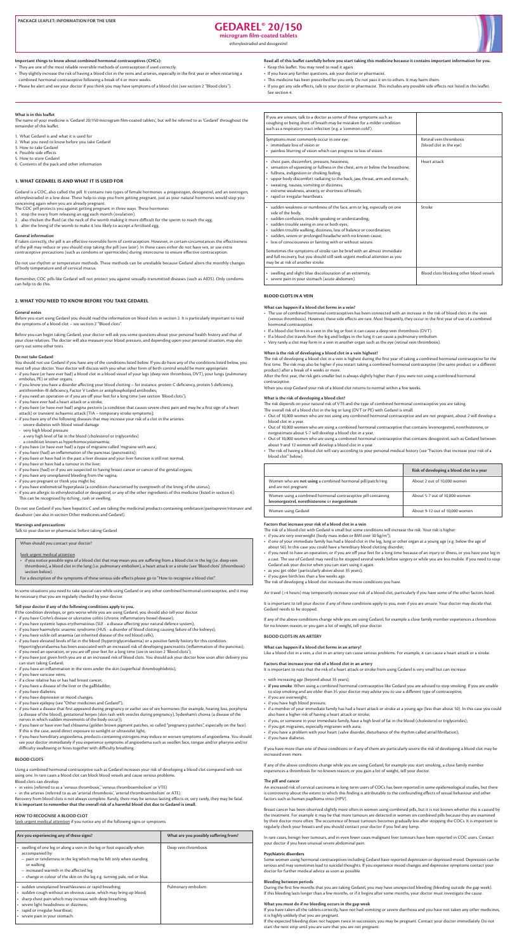# **20/150 RGEDAREL**

microgram film-coated tablets

ethinylestradiol and desogestrel



#### Important things to know about combined hormonal contraceptives (CHCs):

- They are one of the most reliable reversible methods of contraception if used correctly.
- They slightly increase the risk of having a blood clot in the veins and arteries, especially in the first year or when restarting a combined hormonal contraceptive following a break of 4 or more weeks.
- . Please be alert and see your doctor if you think you may have symptoms of a blood clot (see section 2 "Blood clots").

## Read all of this leaflet carefully before you start taking this medicine because it contains important information for you.

- Keep this leaflet. You may need to read it again.
- If you have any further questions, ask your doctor or pharmacist.
- This medicine has been prescribed for you only. Do not pass it on to others. It may harm them.
- . If you get any side effects, talk to your doctor or pharmacist. This includes any possible side effects not listed in this leaflet. See section 4.

#### **What is in this leaflet**

The name of your medicine is 'Gedarel 20/150 microgram film-coated tablets', but will be referred to as 'Gedarel' throughout the remainder of this leaflet.

1. What Gedarel is and what it is used for

- 2. What you need to know before you take Gedarel
- 3. How to take Gedarel
- 4. Possible side effects
- 5. How to store Gedarel

6. Contents of the pack and other information

#### **1. WHAT GEDAREL IS AND WHAT IT IS USED FOR**

Gedarel is a COC, also called the pill. It contains two types of female hormones: a progestogen, desogestrel, and an oestrogen, ethinylestradiol in a low dose. These help to stop you from getting pregnant, just as your natural hormones would stop you conceiving again when you are already pregnant.

The COC pill protects you against getting pregnant in three ways. These hormones

- 1. stop the ovary from releasing an egg each month (ovulation).
- 2. also thicken the fluid (at the neck of the womb making it more difficult for the sperm to reach the egg.
- 3. alter the lining of the womb to make it less likely to accept a fertilised egg.

#### **General** information

If taken correctly, the pill is an effective reversible form of contraception. However, in certain circumstances the effectiveness of the pill may reduce or you should stop taking the pill (see later). In these cases either do not have sex, or use extra contraceptive precautions (such as condoms or spermicides) during intercourse to ensure effective contraception.

Do not use rhythm or temperature methods. These methods can be unreliable because Gedarel alters the monthly changes of body temperature and of cervical mucus.

Remember, COC pills like Gedarel will not protect you against sexually-transmitted diseases (such as AIDS). Only condoms can help to do this.

#### **2. WHAT YOU NEED TO KNOW BEFORE YOU TAKE GEDAREL**

#### **General** notes

Before you start using Gedarel you should read the information on blood clots in section 2. It is particularly important to read the symptoms of a blood clot – see section 2 "Blood clots".

Before you can begin taking Gedarel, your doctor will ask you some questions about your personal health history and that of your close relatives. The doctor will also measure your blood pressure, and depending upon your personal situation, may also carry out some other tests.

#### **Do** not take Gedarel

You should not use Gedarel if you have any of the conditions listed below. If you do have any of the conditions listed below, you must tell your doctor. Your doctor will discuss with you what other form of birth control would be more appropriate.

- if you have (or have ever had) a blood clot in a blood vessel of your legs (deep vein thrombosis, DVT), your lungs (pulmonary embolus. PE) or other organs:
- if you know you have a disorder affecting your blood clotting for instance, protein C deficiency, protein S deficiency, antithrombin-III deficiency, Factor V Leiden or antiphospholipid antibodies;
- if you need an operation or if you are off your feet for a long time (see section 'Blood clots');
- if you have ever had a heart attack or a stroke;
- if you have (or have ever had) angina pectoris (a condition that causes severe chest pain and may be a first sign of a heart attack) or transient ischaemic attack [TIA - temporary stroke symptoms];
- if you have any of the following diseases that may increase your risk of a clot in the arteries:
- severe diabetes with blood vessel damage
- very high blood pressure
- a very high level of fat in the blood (cholesterol or triglycerides)
- a condition known as hyperhomocysteinaemia;
- if you have (or have ever had) a type of migraine called 'migraine with aura';
- if you have (had) an inflammation of the pancreas (pancreatitis);
- if you have or have had in the past a liver disease and your liver function is still not normal;
- if you have or have had a tumour in the liver;
- if you have (had) or if you are suspected to having breast cancer or cancer of the genital organs;
- 

After the first year, the risk gets smaller but is always slightly higher than if you were not using a combined hormonal .contraceptive

When you stop Gedarel your risk of a blood clot returns to normal within a few weeks.

#### What is the risk of developing a blood clot?

The risk depends on your natural risk of VTE and the type of combined hormonal contraceptive you are taking. The overall risk of a blood clot in the leg or lung (DVT or PE) with Gedarel is small.

- Out of 10,000 women who are not using any combined hormonal contraceptive and are not pregnant, about 2 will develop a blood clot in a year.
- Out of 10,000 women who are using a combined hormonal contraceptive that contains levonorgestrel, norethisterone, or norgestimate about 5-7 will develop a blood clot in a year.
- Out of 10,000 women who are using a combined hormonal contraceptive that contains desogestrel, such as Gedarel between about 9 and 12 women will develop a blood clot in a year.
- The risk of having a blood clot will vary according to your personal medical history (see "Factors that increase your risk of a blood clot" below).

- if you have any unexplained bleeding from the vagina;
- if you are pregnant or think you might be;
- if you have endometrial hyperplasia (a condition characterised by overgrowth of the lining of the uterus);
- if you are allergic to ethinylestradiol or desogestrel, or any of the other ingredients of this medicine (listed in section 6). This can be recognised by itching, rash or swelling.

Do not use Gedarel if you have hepatitis C and are taking the medicinal products containing ombitasvir/paritaprevir/ritonavir and dasabuvir (see also in section Other medicines and Gedarel).

### **Warnings and precautions**

Talk to your doctor or pharmacist before taking Gedarel.

When should you contact your doctor?

- Seek urgent medical attention
- if you notice possible signs of a blood clot that may mean you are suffering from a blood clot in the leg (i.e. deep vein thrombosis), a blood clot in the lung (i.e. pulmonary embolism), a heart attack or a stroke (see 'Blood clots' (thrombosis) section below).
- For a description of the symptoms of these serious side effects please go to "How to recognise a blood clot".

In some situations you need to take special care while using Gedarel or any other combined hormonal contraceptive, and it may be necessary that you are regularly checked by your doctor.

### Tell your doctor if any of the following conditions apply to you.

If the condition develops, or gets worse while you are using Gedarel, you should also tell your doctor.

- if you have Crohn's disease or ulcerative colitis (chronic inflammatory bowel disease);
- if you have systemic lupus erythematosus (SLE a disease affecting your natural defence system);
- if you have haemolytic uraemic syndrome (HUS a disorder of blood clotting causing failure of the kidneys);
- if you have sickle cell anaemia (an inherited disease of the red blood cells);
- if you have elevated levels of fat in the blood (hypertriglyceridaemia) or a positive family history for this condition. Hypertriglyceridaemia has been associated with an increased risk of developing pancreatitis (inflammation of the pancreas);
- if you need an operation, or you are off your feet for a long time (see in section 2 'Blood clots'); • if you have just given birth you are at an increased risk of blood clots. You should ask your doctor how soon after delivery you can start taking Gedarel;
- if you have an inflammation in the veins under the skin (superficial thrombophlebitis);
- if you have varicose veins;
- if a close relative has or has had breast cancer;
- if you have a disease of the liver or the gallbladder;
- if you have diabetes;
- if you have depression or mood changes;
- if you have epilepsy (see "Other medicines and Gedarel");
- if you have a disease that first appeared during pregnancy or earlier use of sex hormones (for example, hearing loss, porphyria (a disease of the blood), gestational herpes (skin rash with vesicles during pregnancy), Sydenham's chorea (a disease of the nerves in which sudden movements of the body occur));
- if you have or have ever had chloasma (golden brown pigment patches, so called "pregnancy patches", especially on the face). If this is the case, avoid direct exposure to sunlight or ultraviolet light;
- if you have hereditary angioedema, products containing estrogens may induce or worsen symptoms of angioedema. You should see your doctor immediately if you experience symptoms of angioedema such as swollen face, tongue and/or pharynx and/or difficulty swallowing or hives together with difficulty breathing.

### **BLOOD** CLOTS

Using a combined hormonal contraceptive such as Gedarel increases your risk of developing a blood clot compared with not using one. In rare cases a blood clot can block blood vessels and cause serious problems.

Blood clots can develop - in veins (referred to as a 'venous thrombosis', 'venous thromboembolism' or VTE)

- in the arteries (referred to as an 'arterial thrombosis', 'arterial thromboembolism' or ATE).

Recovery from blood clots is not always complete. Rarely, there may be serious lasting effects or, very rarely, they may be fatal. It is important to remember that the overall risk of a harmful blood clot due to Gedarel is small.

### **HOW TO RECOGNISE A BLOOD CLOT**

Seek urgent medical attention if you notice any of the following signs or symptoms.

| Are you experiencing any of these signs?                                                                                                                                                                                                                                                                            | What are you possibly suffering from? |
|---------------------------------------------------------------------------------------------------------------------------------------------------------------------------------------------------------------------------------------------------------------------------------------------------------------------|---------------------------------------|
| swelling of one leg or along a vein in the leg or foot especially when<br>$\bullet$<br>accompanied by:<br>- pain or tenderness in the leg which may be felt only when standing<br>or walking<br>- increased warmth in the affected leg<br>- change in colour of the skin on the leg e.g. turning pale, red or blue. | Deep vein thrombosis                  |
| • sudden unexplained breathlessness or rapid breathing;<br>sudden cough without an obvious cause, which may bring up blood;<br>sharp chest pain which may increase with deep breathing;<br>severe light headedness or dizziness;<br>rapid or irregular heartbeat;<br>severe pain in your stomach.                   | Pulmonary embolism                    |

| If you are unsure, talk to a doctor as some of these symptoms such as<br>coughing or being short of breath may be mistaken for a milder condition<br>such as a respiratory tract infection (e.g. a 'common cold').                                                                                                                                                                                              |                                                    |
|-----------------------------------------------------------------------------------------------------------------------------------------------------------------------------------------------------------------------------------------------------------------------------------------------------------------------------------------------------------------------------------------------------------------|----------------------------------------------------|
| Symptoms most commonly occur in one eye:<br>• immediate loss of vision or<br>• painless blurring of vision which can progress to loss of vision.                                                                                                                                                                                                                                                                | Retinal vein thrombosis<br>(blood clot in the eye) |
| • chest pain, discomfort, pressure, heaviness;<br>• sensation of squeezing or fullness in the chest, arm or below the breastbone;<br>• fullness, indigestion or choking feeling;<br>• upper body discomfort radiating to the back, jaw, throat, arm and stomach;<br>• sweating, nausea, vomiting or dizziness;<br>• extreme weakness, anxiety, or shortness of breath;<br>• rapid or irregular heartbeats.      | Heart attack                                       |
| • sudden weakness or numbness of the face, arm or leg, especially on one<br>side of the body;<br>· sudden confusion, trouble speaking or understanding;<br>· sudden trouble seeing in one or both eyes;<br>· sudden trouble walking, dizziness, loss of balance or coordination;<br>• sudden, severe or prolonged headache with no known cause;<br>• loss of consciousness or fainting with or without seizure. | Stroke                                             |
| Sometimes the symptoms of stroke can be brief with an almost immediate<br>and full recovery, but you should still seek urgent medical attention as you<br>may be at risk of another stroke.                                                                                                                                                                                                                     |                                                    |
| • swelling and slight blue discolouration of an extremity;<br>· severe pain in your stomach (acute abdomen).                                                                                                                                                                                                                                                                                                    | Blood clots blocking other blood vessels           |

#### **BLOOD CLOTS IN A VEIN**

#### What can happen if a blood clot forms in a vein?

- The use of combined hormonal contraceptives has been connected with an increase in the risk of blood clots in the vein (venous thrombosis). However, these side effects are rare. Most frequently, they occur in the first year of use of a combined hormonal contraceptive.
- If a blood clot forms in a vein in the leg or foot it can cause a deep vein thrombosis (DVT).
- If a blood clot travels from the leg and lodges in the lung it can cause a pulmonary embolism.
- Very rarely a clot may form in a vein in another organ such as the eye (retinal vein thrombosis).

#### When is the risk of developing a blood clot in a vein highest?

The risk of developing a blood clot in a vein is highest during the first year of taking a combined hormonal contraceptive for the first time. The risk may also be higher if you restart taking a combined hormonal contraceptive (the same product or a different product) after a break of 4 weeks or more.

| Women who are <b>not using</b> a combined hormonal pill/patch/ring<br>and are not pregnant                      | About 2 out of 10,000 women    |
|-----------------------------------------------------------------------------------------------------------------|--------------------------------|
| Women using a combined hormonal contraceptive pill containing<br>levonorgestrel, norethisterone or norgestimate | About 5-7 out of 10,000 women  |
| Women using Gedarel                                                                                             | About 9-12 out of 10,000 women |

### Factors that increase your risk of a blood clot in a vein

The risk of a blood clot with Gedarel is small but some conditions will increase the risk. Your risk is higher:

- $\cdot$  if you are very overweight (body mass index or BMI over 30 kg/m<sup>2</sup>);
- if one of your immediate family has had a blood clot in the leg, lung or other organ at a young age (e.g. below the age of about 50). In this case you could have a hereditary blood clotting disorder;
- if you need to have an operation, or if you are off your feet for a long time because of an injury or illness, or you have your leg in a cast. The use of Gedarel may need to be stopped several weeks before surgery or while you are less mobile. If you need to stop Gedarel ask your doctor when you can start using it again.
- as you get older (particularly above about 35 years);
- if you gave birth less than a few weeks ago.

The risk of developing a blood clot increases the more conditions you have.

Air travel (>4 hours) may temporarily increase your risk of a blood clot, particularly if you have some of the other factors listed.

It is important to tell your doctor if any of these conditions apply to you, even if you are unsure. Your doctor may decide that Gedarel needs to be stopped.

If any of the above conditions change while you are using Gedarel, for example a close family member experiences a thrombosis for no known reason; or you gain a lot of weight, tell your doctor.

#### **BLOOD CLOTS IN AN ARTERY**

What can happen if a blood clot forms in an artery?

Like a blood clot in a vein, a clot in an artery can cause serious problems. For example, it can cause a heart attack or a stroke.

#### Factors that increase your risk of a blood clot in an artery

It is important to note that the risk of a heart attack or stroke from using Gedarel is very small but can increase:

- with increasing age (beyond about 35 years);
- if you smoke. When using a combined hormonal contraceptive like Gedarel you are advised to stop smoking. If you are unable to stop smoking and are older than 35 your doctor may advise you to use a different type of contraceptive;
- if you are overweight;
- if you have high blood pressure;
- if a member of your immediate family has had a heart attack or stroke at a young age (less than about 50). In this case you could also have a higher risk of having a heart attack or stroke;
- if you, or someone in your immediate family, have a high level of fat in the blood (cholesterol or triglycerides);
- if you get migraines, especially migraines with aura;
- if you have a problem with your heart (valve disorder, disturbance of the rhythm called atrial fibrillation);
- if you have diabetes.

If you have more than one of these conditions or if any of them are particularly severe the risk of developing a blood clot may be increased even more.

If any of the above conditions change while you are using Gedarel, for example you start smoking, a close family member experiences a thrombosis for no known reason; or you gain a lot of weight, tell your doctor.

#### **The pill and cancer**

An increased risk of cervical carcinoma in long-term users of COCs has been reported in some epidemiological studies, but there is controversy about the extent to which this finding is attributable to the confounding effects of sexual behaviour and other factors such as human papilloma virus (HPV).

Breast cancer has been observed slightly more often in women using combined pills, but it is not known whether this is caused by the treatment. For example it may be that more tumours are detected in women on combined pills because they are examined by their doctor more often. The occurrence of breast tumours becomes gradually less after stopping the COCs. It is important to regularly check your breasts and you should contact your doctor if you feel any lump.

In rare cases, benign liver tumours, and in even fewer cases malignant liver tumours have been reported in COC users. Contact your doctor if you have unusual severe abdominal pain.

#### **Psychiatric disorders**

Some women using hormonal contraceptives including Gedarel have reported depression or depressed mood. Depression can be serious and may sometimes lead to suicidal thoughts. If you experience mood changes and depressive symptoms contact your doctor for further medical advice as soon as possible.

#### **Bleeding between periods**

During the first few months that you are taking Gedarel, you may have unexpected bleeding (bleeding outside the gap week). If this bleeding lasts longer than a few months, or if it begins after some months, your doctor must investigate the cause.

#### What you must do if no bleeding occurs in the gap week

If you have taken all the tablets correctly, have not had vomiting or severe diarrhoea and you have not taken any other medicines, it is highly unlikely that you are pregnant.

If the expected bleeding does not happen twice in succession, you may be pregnant. Contact your doctor immediately. Do not start the next strip until you are sure that you are not pregnant.